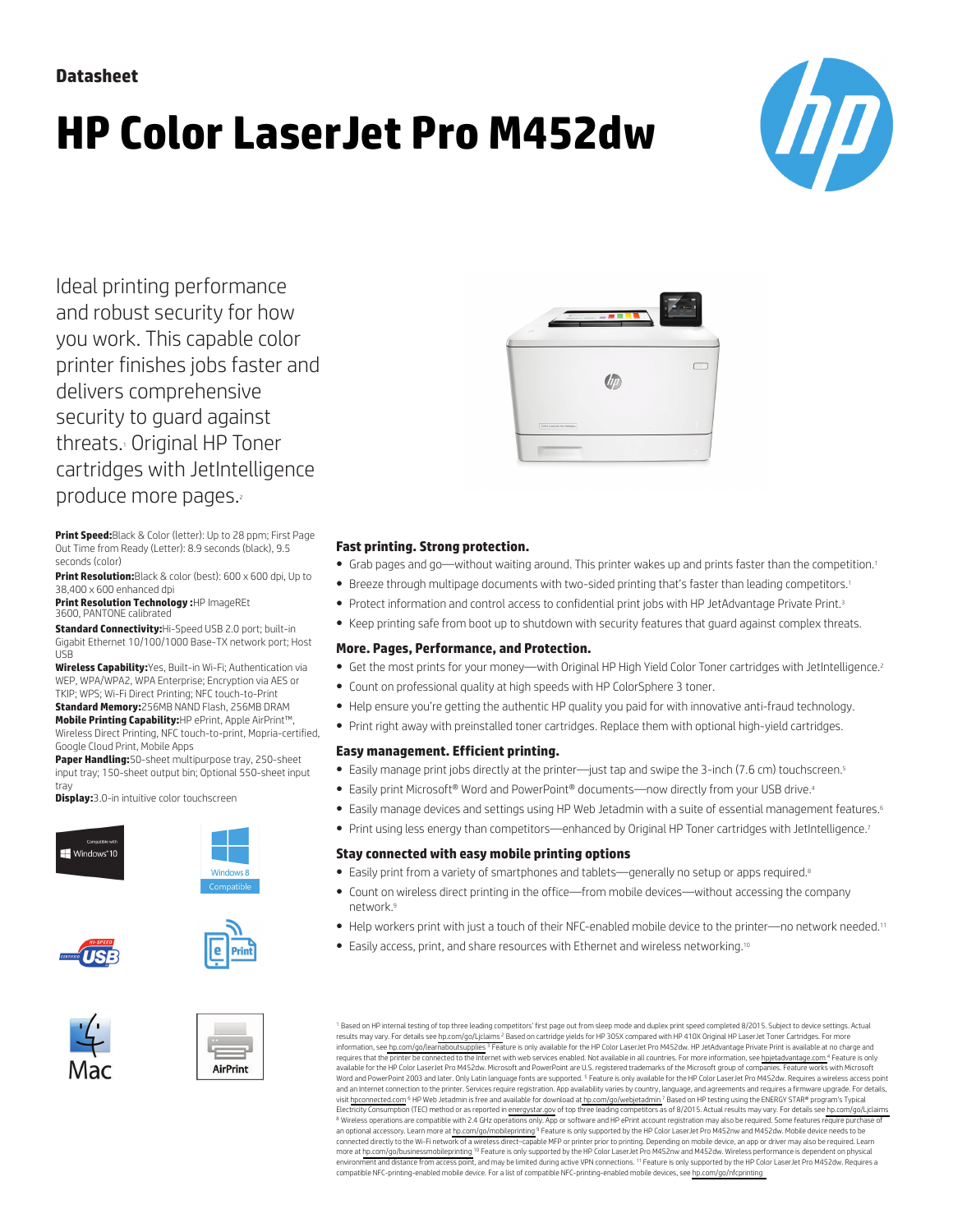# **HP Color LaserJet Pro M452dw**



Ideal printing performance and robust security for how you work. This capable color printer finishes jobs faster and delivers comprehensive security to guard against threats.<sup>1</sup> Original HP Toner cartridges with JetIntelligence produce more pages.

**Print Speed:**Black & Color (letter): Up to 28 ppm; First Page Out Time from Ready (Letter): 8.9 seconds (black), 9.5 seconds (color)

**Print Resolution:**Black & color (best): 600 x 600 dpi, Up to 38,400 x 600 enhanced dpi

**Print Resolution Technology :**HP ImageREt 3600, PANTONE calibrated

**Standard Connectivity:**Hi-Speed USB 2.0 port; built-in Gigabit Ethernet 10/100/1000 Base-TX network port; Host USB

**Wireless Capability:**Yes, Built-in Wi-Fi; Authentication via WEP, WPA/WPA2, WPA Enterprise; Encryption via AES or TKIP; WPS; Wi-Fi Direct Printing; NFC touch-to-Print **Standard Memory:**256MB NAND Flash, 256MB DRAM

**Mobile Printing Capability:**HP ePrint, Apple AirPrint™, Wireless Direct Printing, NFC touch-to-print, Mopria-certified, Google Cloud Print, Mobile Apps

**Paper Handling:**50-sheet multipurpose tray, 250-sheet input tray; 150-sheet output bin; Optional 550-sheet input tray

**Display:**3.0-in intuitive color touchscreen















### **Fast printing. Strong protection.**

- Grab pages and go—without waiting around. This printer wakes up and prints faster than the competition.<sup>1</sup>
- Breeze through multipage documents with two-sided printing that's faster than leading competitors.<sup>1</sup>
- Protect information and control access to confidential print jobs with HP JetAdvantage Private Print.<sup>3</sup>
- Keep printing safe from boot up to shutdown with security features that guard against complex threats.

#### **More. Pages, Performance, and Protection.**

- Get the most prints for your money—with Original HP High Yield Color Toner cartridges with JetIntelligence.<sup>2</sup>
- Count on professional quality at high speeds with HP ColorSphere 3 toner.
- Help ensure you're getting the authentic HP quality you paid for with innovative anti-fraud technology.
- Print right away with preinstalled toner cartridges. Replace them with optional high-yield cartridges.

#### **Easy management. Efficient printing.**

- Easily manage print jobs directly at the printer—just tap and swipe the 3-inch (7.6 cm) touchscreen.<sup>5</sup>
- Easily print Microsoft® Word and PowerPoint® documents—now directly from your USB drive.<sup>4</sup>
- Easily manage devices and settings using HP Web Jetadmin with a suite of essential management features.<sup>6</sup>
- Print using less energy than competitors—enhanced by Original HP Toner cartridges with JetIntelligence.<sup>7</sup>

#### **Stay connected with easy mobile printing options**

- Easily print from a variety of smartphones and tablets—generally no setup or apps required.<sup>8</sup>
- Count on wireless direct printing in the office—from mobile devices—without accessing the company network.<sup>9</sup>
- Help workers print with just a touch of their NFC-enabled mobile device to the printer—no network needed.<sup>11</sup>
- Easily access, print, and share resources with Ethernet and wireless networking.<sup>10</sup>

<sup>1</sup> Based on HP internal testing of top three leading competitors' first page out from sleep mode and duplex print speed completed 8/2015. Subject to device settings. Actual results may vary. For details see [hp.com/go/Ljclaims](http://www.hp.com/go/webjetadmin) <sup>2</sup> Based on cartridge yields for HP 305X compared with HP 410X Original HP LaserJet Toner Cartridges. For more information, see [hp.com/go/learnaboutsupplies](http://www.hp.com/go/learnaboutsupplies) <sup>3</sup> Feature is only available for the HP Color LaserJet Pro M452dw. HP JetAdvantage Private Print is available at no charge and requires that the printer be connected to the Internet with web services enabled. Not available in all countries. For more information, see [hpjetadvantage.com](http://www.hpjetadvantage.com) <sup>4</sup> Feature is only available for the HP Color LaserJet Pro M452dw. Microsoft and PowerPoint are U.S. registered trademarks of the Microsoft group of companies. Feature works with Microsoft Word and PowerPoint 2003 and later. Only Latin language fonts are supported. <sup>5</sup> Feature is only available for the HP Color LaserJet Pro M452dw. Requires a wireless access point<br>and an Internet connection to the printer. S visit [hpconnected.com](http://www.hpconnected.com) <sup>6</sup> HP Web Jetadmin is free and available for download at [hp.com/go/webjetadmin](http://www.hp.com/go/webjetadmin) <sup>7</sup> Based on HP testing using the ENERGY STAR® program's Typical Electricity Consumption (TEC) method or as reported in [energystar.gov](http://energystar.gov) of top three leading competitors as of 8/2015. Actual results may vary. For details see hp.com/go/Liclaims <sup>8</sup> Wireless operations are compatible with 2.4 GHz operations only. App or software and HP ePrint account registration may also be required. Some features require purchase of an optional accessory. Learn more at [hp.com/go/mobileprinting](http://www.hp.com/go/mobileprinting) <sup>9</sup> Feature is only supported by the HP Color LaserJet Pro M452nw and M452dw. Mobile device needs to be connected directly to the Wi-Fi network of a wireless direct–capable MFP or printer prior to printing. Depending on mobile device, an app or driver may also be required. Learn more at [hp.com/go/businessmobileprinting](http://www.hp.com/go/businessmobileprinting) <sup>10</sup> Feature is only supported by the HP Color LaserJet Pro M452nw and M452dw. Wireless performance is dependent on physical<br>environment and distance from access point, and may be l compatible NFC-printing-enabled mobile device. For a list of compatible NFC-printing-enabled mobile devices, see [hp.com/go/nfcprinting](http://www.hp.com/go/nfcprinting)